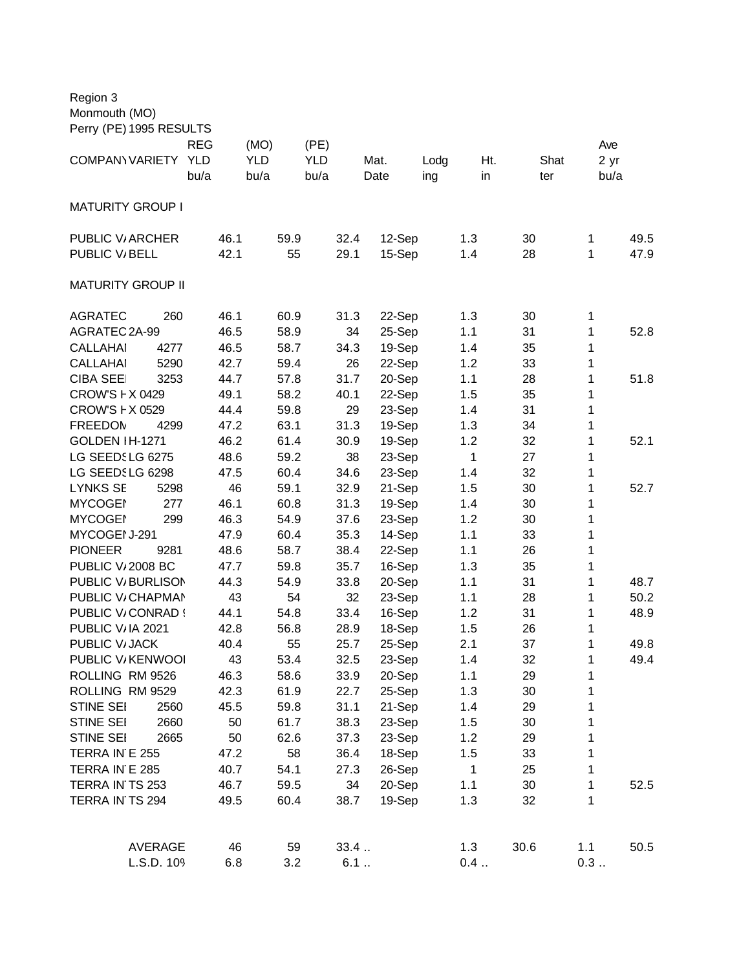| Region 3<br>Monmouth (MO) |            |            |            |        |      |      |      |      |
|---------------------------|------------|------------|------------|--------|------|------|------|------|
| Perry (PE) 1995 RESULTS   |            |            |            |        |      |      |      |      |
|                           | <b>REG</b> | (MO)       | (PE)       |        |      |      |      | Ave  |
| <b>COMPANY VARIETY</b>    | <b>YLD</b> | <b>YLD</b> | <b>YLD</b> | Mat.   | Lodg | Ht.  | Shat | 2 yr |
|                           | bu/a       | bu/a       | bu/a       | Date   | ing  | in   | ter  | bu/a |
| <b>MATURITY GROUP I</b>   |            |            |            |        |      |      |      |      |
|                           |            |            |            |        |      |      |      |      |
| <b>PUBLIC V/ARCHER</b>    | 46.1       | 59.9       | 32.4       | 12-Sep | 1.3  | 30   | 1    | 49.5 |
| PUBLIC V/BELL             | 42.1       | 55         | 29.1       | 15-Sep | 1.4  | 28   | 1    | 47.9 |
|                           |            |            |            |        |      |      |      |      |
| <b>MATURITY GROUP II</b>  |            |            |            |        |      |      |      |      |
| <b>AGRATEC</b><br>260     | 46.1       | 60.9       | 31.3       | 22-Sep | 1.3  | 30   | 1    |      |
| AGRATEC 2A-99             | 46.5       | 58.9       | 34         | 25-Sep | 1.1  | 31   | 1    | 52.8 |
| <b>CALLAHAI</b><br>4277   | 46.5       | 58.7       | 34.3       | 19-Sep | 1.4  | 35   | 1    |      |
| <b>CALLAHAI</b><br>5290   | 42.7       | 59.4       | 26         | 22-Sep | 1.2  | 33   | 1    |      |
| <b>CIBA SEE</b><br>3253   | 44.7       | 57.8       | 31.7       | 20-Sep | 1.1  | 28   | 1    | 51.8 |
| CROW'S F X 0429           | 49.1       | 58.2       | 40.1       | 22-Sep | 1.5  | 35   | 1    |      |
| CROW'S F X 0529           | 44.4       | 59.8       | 29         | 23-Sep | 1.4  | 31   | 1    |      |
| <b>FREEDOM</b><br>4299    | 47.2       | 63.1       | 31.3       | 19-Sep | 1.3  | 34   | 1    |      |
| GOLDEN IH-1271            | 46.2       | 61.4       | 30.9       | 19-Sep | 1.2  | 32   | 1    | 52.1 |
| LG SEEDSLG 6275           | 48.6       | 59.2       | 38         | 23-Sep | 1    | 27   | 1    |      |
| LG SEEDSLG 6298           | 47.5       | 60.4       | 34.6       | 23-Sep | 1.4  | 32   | 1    |      |
| <b>LYNKS SE</b><br>5298   | 46         | 59.1       | 32.9       | 21-Sep | 1.5  | 30   | 1    | 52.7 |
| <b>MYCOGEN</b><br>277     | 46.1       | 60.8       | 31.3       | 19-Sep | 1.4  | 30   | 1    |      |
| <b>MYCOGEI</b><br>299     | 46.3       | 54.9       | 37.6       | 23-Sep | 1.2  | 30   | 1    |      |
| MYCOGEI J-291             | 47.9       | 60.4       | 35.3       | 14-Sep | 1.1  | 33   | 1    |      |
| <b>PIONEER</b><br>9281    | 48.6       | 58.7       | 38.4       | 22-Sep | 1.1  | 26   | 1    |      |
| PUBLIC V/2008 BC          | 47.7       | 59.8       | 35.7       | 16-Sep | 1.3  | 35   | 1    |      |
| PUBLIC V/BURLISON         | 44.3       | 54.9       | 33.8       | 20-Sep | 1.1  | 31   | 1    | 48.7 |
| PUBLIC V/CHAPMAN          | 43         | 54         | 32         | 23-Sep | 1.1  | 28   | 1    | 50.2 |
| PUBLIC V/CONRAD !         | 44.1       | 54.8       | 33.4       | 16-Sep | 1.2  | 31   | 1    | 48.9 |
| PUBLIC V/IA 2021          | 42.8       | 56.8       | 28.9       | 18-Sep | 1.5  | 26   | 1    |      |
| PUBLIC V/JACK             | 40.4       | 55         | 25.7       | 25-Sep | 2.1  | 37   | 1    | 49.8 |
| PUBLIC V/KENWOOI          | 43         | 53.4       | 32.5       | 23-Sep | 1.4  | 32   | 1    | 49.4 |
| ROLLING RM 9526           | 46.3       | 58.6       | 33.9       | 20-Sep | 1.1  | 29   | 1    |      |
| ROLLING RM 9529           | 42.3       | 61.9       | 22.7       | 25-Sep | 1.3  | 30   | 1    |      |
| STINE SEI<br>2560         | 45.5       | 59.8       | 31.1       | 21-Sep | 1.4  | 29   | 1    |      |
| STINE SEI<br>2660         | 50         | 61.7       | 38.3       | 23-Sep | 1.5  | 30   | 1    |      |
| STINE SEI<br>2665         | 50         | 62.6       | 37.3       | 23-Sep | 1.2  | 29   | 1    |      |
| TERRA IN E 255            | 47.2       | 58         | 36.4       | 18-Sep | 1.5  | 33   | 1    |      |
| TERRA IN E 285            | 40.7       | 54.1       | 27.3       | 26-Sep | 1    | 25   | 1    |      |
| TERRA IN TS 253           | 46.7       | 59.5       | 34         | 20-Sep | 1.1  | 30   | 1    | 52.5 |
| TERRA IN TS 294           | 49.5       | 60.4       | 38.7       | 19-Sep | 1.3  | 32   | 1    |      |
| <b>AVERAGE</b>            | 46         | 59         | 33.4       |        | 1.3  | 30.6 | 1.1  | 50.5 |
| L.S.D. 109                | 6.8        | 3.2        | 6.1        |        | 0.4  |      | 0.3  |      |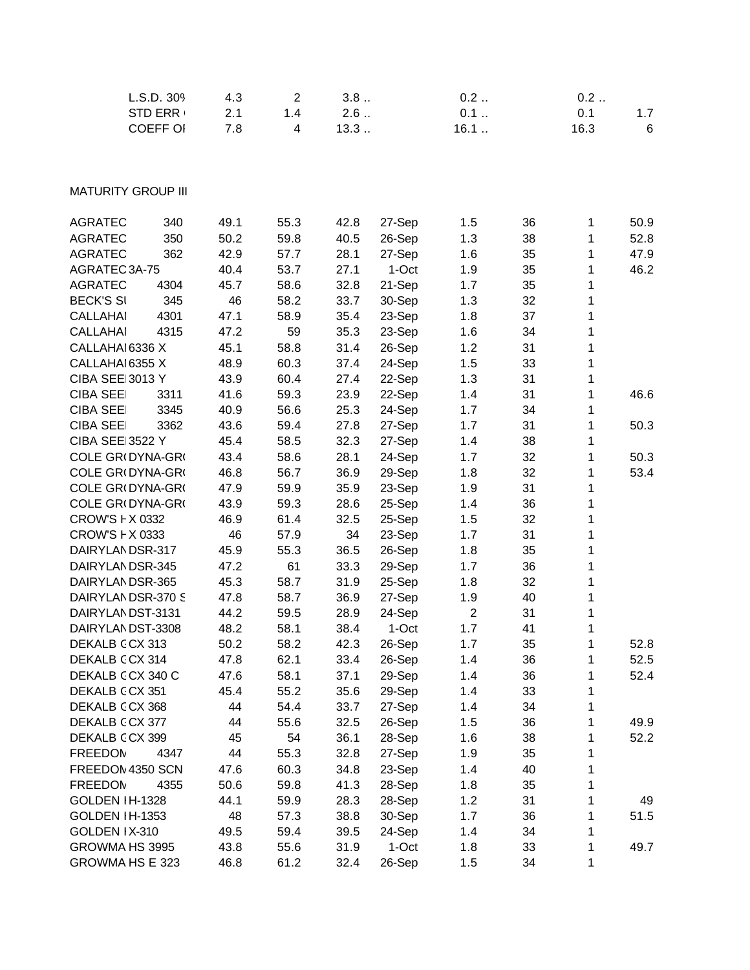| L.S.D. 309                | 4.3  | $\overline{2}$          | 3.8  |        | 0.2            |    | 0.2  |      |
|---------------------------|------|-------------------------|------|--------|----------------|----|------|------|
| <b>STD ERR</b>            | 2.1  | 1.4                     | 2.6  |        | 0.1            |    | 0.1  | 1.7  |
| <b>COEFF OI</b>           | 7.8  | $\overline{\mathbf{4}}$ | 13.3 |        | 16.1           |    | 16.3 | 6    |
|                           |      |                         |      |        |                |    |      |      |
|                           |      |                         |      |        |                |    |      |      |
| <b>MATURITY GROUP III</b> |      |                         |      |        |                |    |      |      |
| 340<br><b>AGRATEC</b>     | 49.1 | 55.3                    | 42.8 | 27-Sep | 1.5            | 36 | 1    | 50.9 |
| <b>AGRATEC</b><br>350     | 50.2 | 59.8                    | 40.5 | 26-Sep | 1.3            | 38 | 1    | 52.8 |
| 362<br><b>AGRATEC</b>     | 42.9 | 57.7                    | 28.1 | 27-Sep | 1.6            | 35 | 1    | 47.9 |
| AGRATEC 3A-75             | 40.4 | 53.7                    | 27.1 | 1-Oct  | 1.9            | 35 | 1    | 46.2 |
| <b>AGRATEC</b><br>4304    | 45.7 | 58.6                    | 32.8 | 21-Sep | 1.7            | 35 | 1    |      |
| <b>BECK'S SI</b><br>345   | 46   | 58.2                    | 33.7 | 30-Sep | 1.3            | 32 | 1    |      |
| <b>CALLAHAI</b><br>4301   | 47.1 | 58.9                    | 35.4 | 23-Sep | 1.8            | 37 | 1    |      |
| <b>CALLAHAI</b><br>4315   | 47.2 | 59                      | 35.3 | 23-Sep | 1.6            | 34 | 1    |      |
| CALLAHAI 6336 X           | 45.1 | 58.8                    | 31.4 | 26-Sep | 1.2            | 31 | 1    |      |
| CALLAHAI 6355 X           | 48.9 | 60.3                    | 37.4 | 24-Sep | 1.5            | 33 | 1    |      |
| CIBA SEE 3013 Y           | 43.9 | 60.4                    | 27.4 | 22-Sep | 1.3            | 31 | 1    |      |
| <b>CIBA SEE</b><br>3311   | 41.6 | 59.3                    | 23.9 | 22-Sep | 1.4            | 31 | 1    | 46.6 |
| <b>CIBA SEE</b><br>3345   | 40.9 | 56.6                    | 25.3 | 24-Sep | 1.7            | 34 | 1    |      |
| <b>CIBA SEE</b><br>3362   | 43.6 | 59.4                    | 27.8 | 27-Sep | 1.7            | 31 | 1    | 50.3 |
| <b>CIBA SEE 3522 Y</b>    | 45.4 | 58.5                    | 32.3 | 27-Sep | 1.4            | 38 | 1    |      |
| COLE GR(DYNA-GR(          | 43.4 | 58.6                    | 28.1 | 24-Sep | 1.7            | 32 | 1    | 50.3 |
| COLE GR(DYNA-GR(          | 46.8 | 56.7                    | 36.9 | 29-Sep | 1.8            | 32 | 1    | 53.4 |
| COLE GR(DYNA-GR(          | 47.9 | 59.9                    | 35.9 | 23-Sep | 1.9            | 31 | 1    |      |
| COLE GR(DYNA-GR(          | 43.9 | 59.3                    | 28.6 | 25-Sep | 1.4            | 36 | 1    |      |
| CROW'S F X 0332           | 46.9 | 61.4                    | 32.5 | 25-Sep | 1.5            | 32 | 1    |      |
| CROW'S F X 0333           | 46   | 57.9                    | 34   | 23-Sep | 1.7            | 31 | 1    |      |
| DAIRYLANDSR-317           | 45.9 | 55.3                    | 36.5 | 26-Sep | 1.8            | 35 | 1    |      |
| DAIRYLANDSR-345           | 47.2 | 61                      | 33.3 | 29-Sep | 1.7            | 36 | 1    |      |
| DAIRYLANDSR-365           | 45.3 | 58.7                    | 31.9 | 25-Sep | 1.8            | 32 | 1    |      |
| DAIRYLANDSR-370 S         | 47.8 | 58.7                    | 36.9 | 27-Sep | 1.9            | 40 | 1    |      |
| DAIRYLANDST-3131          | 44.2 | 59.5                    | 28.9 | 24-Sep | $\overline{2}$ | 31 | 1    |      |
| DAIRYLANDST-3308          | 48.2 | 58.1                    | 38.4 | 1-Oct  | 1.7            | 41 | 1    |      |
| DEKALB CCX 313            | 50.2 | 58.2                    | 42.3 | 26-Sep | 1.7            | 35 | 1    | 52.8 |
| DEKALB CCX 314            | 47.8 | 62.1                    | 33.4 | 26-Sep | 1.4            | 36 | 1    | 52.5 |
| DEKALB CCX 340 C          | 47.6 | 58.1                    | 37.1 | 29-Sep | 1.4            | 36 | 1    | 52.4 |
| DEKALB CCX 351            | 45.4 | 55.2                    | 35.6 | 29-Sep | 1.4            | 33 | 1    |      |
| DEKALB CCX 368            | 44   | 54.4                    | 33.7 | 27-Sep | 1.4            | 34 | 1    |      |
| DEKALB CCX 377            | 44   | 55.6                    | 32.5 | 26-Sep | 1.5            | 36 | 1    | 49.9 |
| DEKALB CCX 399            | 45   | 54                      | 36.1 | 28-Sep | 1.6            | 38 | 1    | 52.2 |
| <b>FREEDOM</b><br>4347    | 44   | 55.3                    | 32.8 | 27-Sep | 1.9            | 35 | 1    |      |
| FREEDOM 4350 SCN          | 47.6 | 60.3                    | 34.8 | 23-Sep | 1.4            | 40 | 1    |      |
| <b>FREEDOM</b><br>4355    | 50.6 | 59.8                    | 41.3 | 28-Sep | 1.8            | 35 | 1    |      |
| GOLDEN IH-1328            | 44.1 | 59.9                    | 28.3 | 28-Sep | 1.2            | 31 | 1    | 49   |
| GOLDEN IH-1353            | 48   | 57.3                    | 38.8 | 30-Sep | 1.7            | 36 | 1    | 51.5 |
| GOLDEN IX-310             | 49.5 | 59.4                    | 39.5 | 24-Sep | 1.4            | 34 | 1    |      |
| GROWMA HS 3995            | 43.8 | 55.6                    | 31.9 | 1-Oct  | 1.8            | 33 | 1    | 49.7 |
| GROWMA HS E 323           | 46.8 | 61.2                    | 32.4 | 26-Sep | 1.5            | 34 | 1    |      |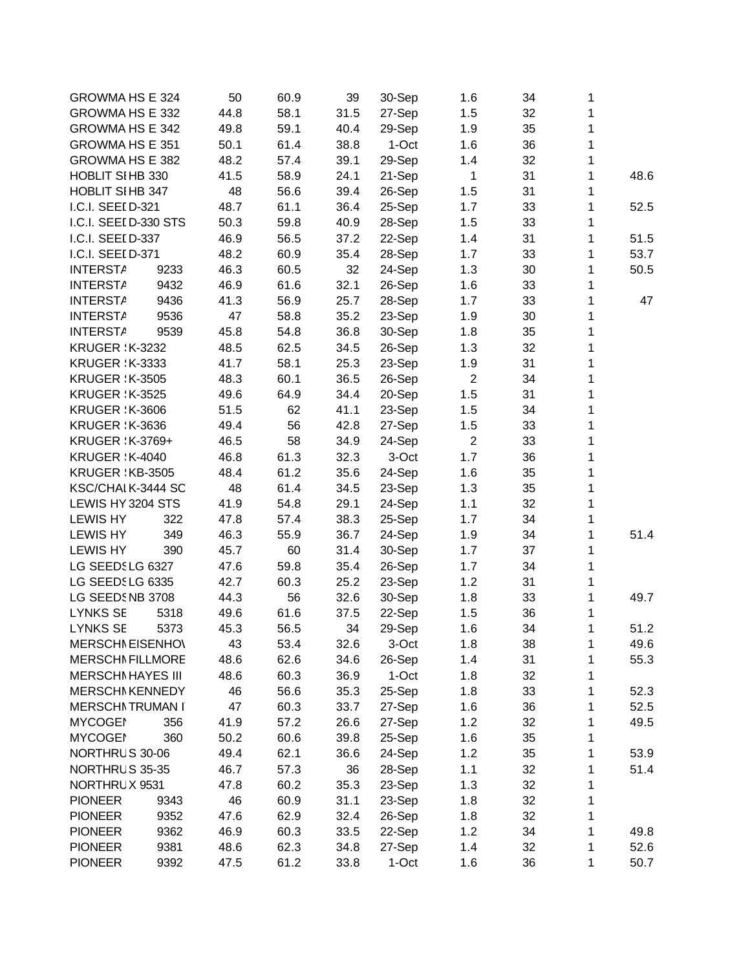| <b>GROWMA HS E 324</b>   |      | 50   | 60.9 | 39   | 30-Sep | 1.6            | 34 | 1 |      |
|--------------------------|------|------|------|------|--------|----------------|----|---|------|
| <b>GROWMA HS E 332</b>   |      | 44.8 | 58.1 | 31.5 | 27-Sep | 1.5            | 32 | 1 |      |
| GROWMA HS E 342          |      | 49.8 | 59.1 | 40.4 | 29-Sep | 1.9            | 35 | 1 |      |
| GROWMA HS E 351          |      | 50.1 | 61.4 | 38.8 | 1-Oct  | 1.6            | 36 | 1 |      |
| GROWMA HS E 382          |      | 48.2 | 57.4 | 39.1 | 29-Sep | 1.4            | 32 | 1 |      |
| HOBLIT SIHB 330          |      | 41.5 | 58.9 | 24.1 | 21-Sep | $\mathbf{1}$   | 31 | 1 | 48.6 |
| <b>HOBLIT SI HB 347</b>  |      | 48   | 56.6 | 39.4 | 26-Sep | 1.5            | 31 | 1 |      |
| I.C.I. SEEI D-321        |      | 48.7 | 61.1 | 36.4 | 25-Sep | 1.7            | 33 | 1 | 52.5 |
| I.C.I. SEEI D-330 STS    |      | 50.3 | 59.8 | 40.9 | 28-Sep | 1.5            | 33 | 1 |      |
| I.C.I. SEEI D-337        |      | 46.9 | 56.5 | 37.2 | 22-Sep | 1.4            | 31 | 1 | 51.5 |
| I.C.I. SEEI D-371        |      | 48.2 | 60.9 | 35.4 | 28-Sep | 1.7            | 33 | 1 | 53.7 |
| <b>INTERSTA</b>          | 9233 | 46.3 | 60.5 | 32   | 24-Sep | 1.3            | 30 | 1 | 50.5 |
| <b>INTERSTA</b>          | 9432 | 46.9 | 61.6 | 32.1 | 26-Sep | 1.6            | 33 | 1 |      |
| <b>INTERSTA</b>          | 9436 | 41.3 | 56.9 | 25.7 | 28-Sep | 1.7            | 33 | 1 | 47   |
| <b>INTERSTA</b>          | 9536 | 47   | 58.8 | 35.2 | 23-Sep | 1.9            | 30 | 1 |      |
| <b>INTERSTA</b>          | 9539 | 45.8 | 54.8 | 36.8 | 30-Sep | 1.8            | 35 | 1 |      |
| <b>KRUGER : K-3232</b>   |      | 48.5 | 62.5 | 34.5 | 26-Sep | 1.3            | 32 | 1 |      |
| <b>KRUGER : K-3333</b>   |      | 41.7 | 58.1 | 25.3 | 23-Sep | 1.9            | 31 | 1 |      |
| <b>KRUGER : K-3505</b>   |      | 48.3 | 60.1 | 36.5 | 26-Sep | $\overline{2}$ | 34 | 1 |      |
|                          |      |      |      |      |        |                |    |   |      |
| <b>KRUGER : K-3525</b>   |      | 49.6 | 64.9 | 34.4 | 20-Sep | 1.5            | 31 | 1 |      |
| <b>KRUGER : K-3606</b>   |      | 51.5 | 62   | 41.1 | 23-Sep | 1.5            | 34 | 1 |      |
| <b>KRUGER : K-3636</b>   |      | 49.4 | 56   | 42.8 | 27-Sep | 1.5            | 33 | 1 |      |
| KRUGER : K-3769+         |      | 46.5 | 58   | 34.9 | 24-Sep | $\overline{c}$ | 33 | 1 |      |
| <b>KRUGER : K-4040</b>   |      | 46.8 | 61.3 | 32.3 | 3-Oct  | 1.7            | 36 | 1 |      |
| KRUGER : KB-3505         |      | 48.4 | 61.2 | 35.6 | 24-Sep | 1.6            | 35 | 1 |      |
| KSC/CHAIK-3444 SC        |      | 48   | 61.4 | 34.5 | 23-Sep | 1.3            | 35 | 1 |      |
| LEWIS HY 3204 STS        |      | 41.9 | 54.8 | 29.1 | 24-Sep | 1.1            | 32 | 1 |      |
| <b>LEWIS HY</b>          | 322  | 47.8 | 57.4 | 38.3 | 25-Sep | 1.7            | 34 | 1 |      |
| <b>LEWIS HY</b>          | 349  | 46.3 | 55.9 | 36.7 | 24-Sep | 1.9            | 34 | 1 | 51.4 |
| <b>LEWIS HY</b>          | 390  | 45.7 | 60   | 31.4 | 30-Sep | 1.7            | 37 | 1 |      |
| LG SEEDSLG 6327          |      | 47.6 | 59.8 | 35.4 | 26-Sep | 1.7            | 34 | 1 |      |
| LG SEEDSLG 6335          |      | 42.7 | 60.3 | 25.2 | 23-Sep | 1.2            | 31 | 1 |      |
| LG SEEDSNB 3708          |      | 44.3 | 56   | 32.6 | 30-Sep | 1.8            | 33 | 1 | 49.7 |
| <b>LYNKS SE</b>          | 5318 | 49.6 | 61.6 | 37.5 | 22-Sep | 1.5            | 36 | 1 |      |
| <b>LYNKS SE</b>          | 5373 | 45.3 | 56.5 | 34   | 29-Sep | 1.6            | 34 | 1 | 51.2 |
| <b>MERSCHI EISENHO\</b>  |      | 43   | 53.4 | 32.6 | 3-Oct  | 1.8            | 38 | 1 | 49.6 |
| <b>MERSCHI FILLMORE</b>  |      | 48.6 | 62.6 | 34.6 | 26-Sep | 1.4            | 31 | 1 | 55.3 |
| <b>MERSCHI HAYES III</b> |      | 48.6 | 60.3 | 36.9 | 1-Oct  | 1.8            | 32 | 1 |      |
| <b>MERSCHI KENNEDY</b>   |      | 46   | 56.6 | 35.3 | 25-Sep | 1.8            | 33 | 1 | 52.3 |
| <b>MERSCHI TRUMAN I</b>  |      | 47   | 60.3 | 33.7 | 27-Sep | 1.6            | 36 | 1 | 52.5 |
| <b>MYCOGEI</b>           | 356  | 41.9 | 57.2 | 26.6 | 27-Sep | 1.2            | 32 | 1 | 49.5 |
| <b>MYCOGEI</b>           | 360  | 50.2 | 60.6 | 39.8 | 25-Sep | 1.6            | 35 | 1 |      |
| NORTHRUS 30-06           |      | 49.4 | 62.1 | 36.6 | 24-Sep | 1.2            | 35 | 1 | 53.9 |
| NORTHRUS 35-35           |      | 46.7 | 57.3 | 36   | 28-Sep | 1.1            | 32 | 1 | 51.4 |
| NORTHRUX 9531            |      | 47.8 | 60.2 | 35.3 | 23-Sep | 1.3            | 32 | 1 |      |
| <b>PIONEER</b>           | 9343 | 46   | 60.9 | 31.1 | 23-Sep | 1.8            | 32 | 1 |      |
| <b>PIONEER</b>           | 9352 | 47.6 | 62.9 | 32.4 | 26-Sep | 1.8            | 32 | 1 |      |
| <b>PIONEER</b>           | 9362 | 46.9 | 60.3 | 33.5 | 22-Sep | 1.2            | 34 | 1 | 49.8 |
| <b>PIONEER</b>           | 9381 | 48.6 | 62.3 | 34.8 | 27-Sep | 1.4            | 32 | 1 | 52.6 |
| <b>PIONEER</b>           | 9392 | 47.5 | 61.2 | 33.8 | 1-Oct  | 1.6            | 36 | 1 | 50.7 |
|                          |      |      |      |      |        |                |    |   |      |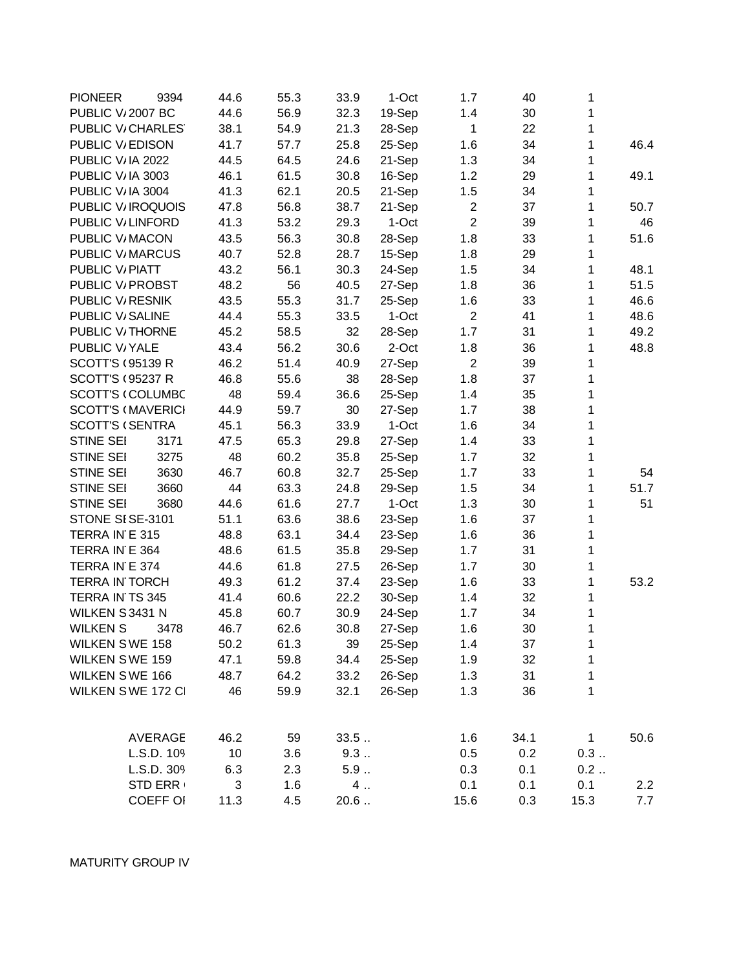| <b>PIONEER</b>              | 9394            | 44.6 | 55.3 | 33.9 | 1-Oct  | 1.7            | 40   | 1            |      |
|-----------------------------|-----------------|------|------|------|--------|----------------|------|--------------|------|
| PUBLIC V <sub>2007</sub> BC |                 | 44.6 | 56.9 | 32.3 | 19-Sep | 1.4            | 30   | 1            |      |
| PUBLIC V/CHARLES            |                 | 38.1 | 54.9 | 21.3 | 28-Sep | $\mathbf{1}$   | 22   | 1            |      |
| PUBLIC V/EDISON             |                 | 41.7 | 57.7 | 25.8 | 25-Sep | 1.6            | 34   | 1            | 46.4 |
| PUBLIC V/IA 2022            |                 | 44.5 | 64.5 | 24.6 | 21-Sep | 1.3            | 34   | 1            |      |
| PUBLIC V/IA 3003            |                 | 46.1 | 61.5 | 30.8 | 16-Sep | 1.2            | 29   | 1            | 49.1 |
| PUBLIC V/IA 3004            |                 | 41.3 | 62.1 | 20.5 | 21-Sep | 1.5            | 34   | 1            |      |
| PUBLIC V/IROQUOIS           |                 | 47.8 | 56.8 | 38.7 | 21-Sep | $\overline{2}$ | 37   | 1            | 50.7 |
| PUBLIC V/LINFORD            |                 | 41.3 | 53.2 | 29.3 | 1-Oct  | $\overline{c}$ | 39   | 1            | 46   |
| PUBLIC V/MACON              |                 | 43.5 | 56.3 | 30.8 | 28-Sep | 1.8            | 33   | 1            | 51.6 |
| PUBLIC V/MARCUS             |                 | 40.7 | 52.8 | 28.7 | 15-Sep | 1.8            | 29   | 1            |      |
| PUBLIC V/PIATT              |                 | 43.2 | 56.1 | 30.3 | 24-Sep | 1.5            | 34   | 1            | 48.1 |
| PUBLIC V/ PROBST            |                 | 48.2 | 56   | 40.5 | 27-Sep | 1.8            | 36   | 1            | 51.5 |
| PUBLIC V/RESNIK             |                 | 43.5 | 55.3 | 31.7 | 25-Sep | 1.6            | 33   | 1            | 46.6 |
| PUBLIC V/SALINE             |                 | 44.4 | 55.3 | 33.5 | 1-Oct  | $\overline{2}$ | 41   | 1            | 48.6 |
| PUBLIC V <sub>/THORNE</sub> |                 | 45.2 | 58.5 | 32   | 28-Sep | 1.7            | 31   | 1            | 49.2 |
| PUBLIC V/YALE               |                 | 43.4 | 56.2 | 30.6 | 2-Oct  | 1.8            | 36   | 1            | 48.8 |
| <b>SCOTT'S (95139 R)</b>    |                 | 46.2 | 51.4 | 40.9 | 27-Sep | $\overline{2}$ | 39   | 1            |      |
| <b>SCOTT'S (95237 R)</b>    |                 | 46.8 | 55.6 | 38   | 28-Sep | 1.8            | 37   | 1            |      |
| <b>SCOTT'S (COLUMBC</b>     |                 | 48   | 59.4 | 36.6 | 25-Sep | 1.4            | 35   | 1            |      |
| <b>SCOTT'S (MAVERICI</b>    |                 | 44.9 | 59.7 | 30   | 27-Sep | 1.7            | 38   | 1            |      |
| <b>SCOTT'S (SENTRA</b>      |                 | 45.1 | 56.3 | 33.9 | 1-Oct  | 1.6            | 34   | 1            |      |
| <b>STINE SEI</b>            | 3171            | 47.5 | 65.3 | 29.8 | 27-Sep | 1.4            | 33   | 1            |      |
| <b>STINE SEI</b>            | 3275            | 48   | 60.2 | 35.8 | 25-Sep | 1.7            | 32   | 1            |      |
| STINE SEI                   | 3630            | 46.7 | 60.8 | 32.7 | 25-Sep | 1.7            | 33   | 1            | 54   |
| <b>STINE SEI</b>            | 3660            | 44   | 63.3 | 24.8 | 29-Sep | 1.5            | 34   | 1            | 51.7 |
| <b>STINE SEI</b>            | 3680            | 44.6 | 61.6 | 27.7 | 1-Oct  | 1.3            | 30   | 1            | 51   |
| STONE SISE-3101             |                 | 51.1 | 63.6 | 38.6 | 23-Sep | 1.6            | 37   | 1            |      |
| TERRA IN E 315              |                 | 48.8 | 63.1 | 34.4 | 23-Sep | 1.6            | 36   | 1            |      |
| TERRA IN E 364              |                 | 48.6 | 61.5 | 35.8 | 29-Sep | 1.7            | 31   | 1            |      |
| TERRA IN E 374              |                 | 44.6 | 61.8 | 27.5 | 26-Sep | 1.7            | 30   | 1            |      |
| <b>TERRA IN TORCH</b>       |                 | 49.3 | 61.2 | 37.4 | 23-Sep | 1.6            | 33   | 1            | 53.2 |
| TERRA IN TS 345             |                 | 41.4 | 60.6 | 22.2 | 30-Sep | 1.4            | 32   | 1            |      |
| WILKEN S3431 N              |                 | 45.8 | 60.7 | 30.9 | 24-Sep | 1.7            | 34   | 1            |      |
| <b>WILKEN S</b>             | 3478            | 46.7 | 62.6 | 30.8 | 27-Sep | 1.6            | 30   | 1            |      |
| <b>WILKEN SWE 158</b>       |                 | 50.2 | 61.3 | 39   | 25-Sep | 1.4            | 37   | 1            |      |
| WILKEN SWE 159              |                 | 47.1 | 59.8 | 34.4 | 25-Sep | 1.9            | 32   | 1            |      |
| WILKEN SWE 166              |                 | 48.7 | 64.2 | 33.2 | 26-Sep | 1.3            | 31   | 1            |      |
| WILKEN SWE 172 CI           |                 | 46   | 59.9 | 32.1 | 26-Sep | 1.3            | 36   | 1            |      |
|                             |                 |      |      |      |        |                |      |              |      |
|                             | <b>AVERAGE</b>  | 46.2 | 59   | 33.5 |        | 1.6            | 34.1 | $\mathbf{1}$ | 50.6 |
|                             | L.S.D. 109      | 10   | 3.6  | 9.3  |        | 0.5            | 0.2  | 0.3          |      |
|                             | L.S.D. 309      | 6.3  | 2.3  | 5.9  |        | 0.3            | 0.1  | 0.2          |      |
|                             | <b>STD ERR</b>  | 3    | 1.6  | 4.   |        | 0.1            | 0.1  | 0.1          | 2.2  |
|                             | <b>COEFF OI</b> | 11.3 | 4.5  | 20.6 |        | 15.6           | 0.3  | 15.3         | 7.7  |

MATURITY GROUP IV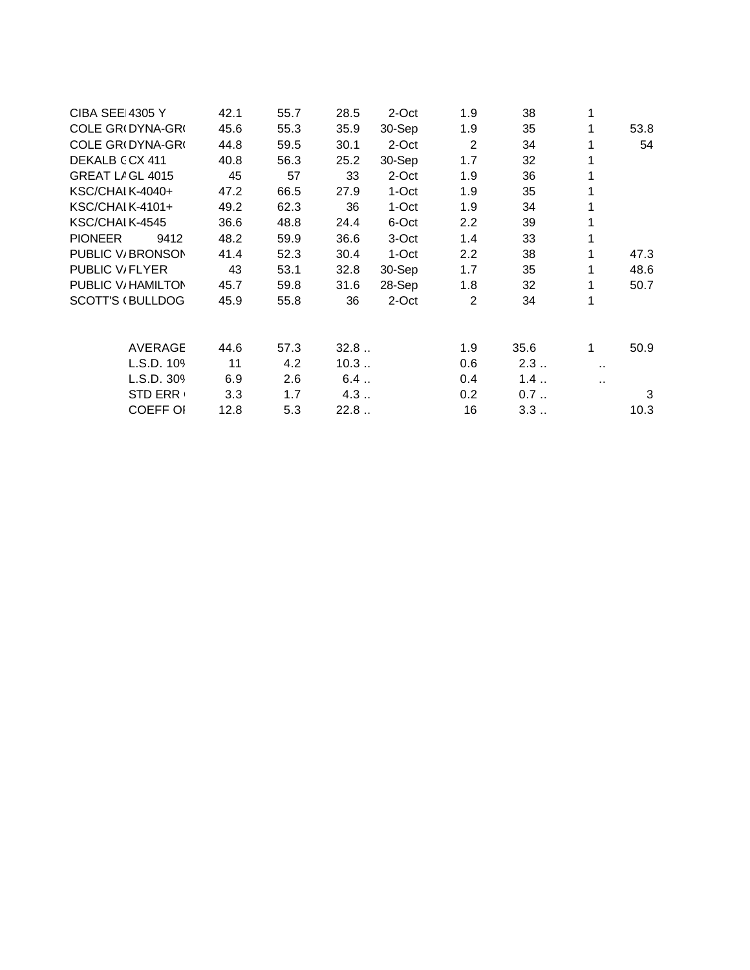| <b>CIBA SEE 4305 Y</b>     | 42.1 | 55.7 | 28.5 | 2-Oct  | 1.9            | 38   |                      |      |
|----------------------------|------|------|------|--------|----------------|------|----------------------|------|
| COLE GR(DYNA-GR(           | 45.6 | 55.3 | 35.9 | 30-Sep | 1.9            | 35   | 1                    | 53.8 |
| COLE GR(DYNA-GR(           | 44.8 | 59.5 | 30.1 | 2-Oct  | $\overline{2}$ | 34   |                      | 54   |
| DEKALB CCX 411             | 40.8 | 56.3 | 25.2 | 30-Sep | 1.7            | 32   |                      |      |
| GREAT LAGL 4015            | 45   | 57   | 33   | 2-Oct  | 1.9            | 36   |                      |      |
| KSC/CHAI K-4040+           | 47.2 | 66.5 | 27.9 | 1-Oct  | 1.9            | 35   |                      |      |
| KSC/CHAI K-4101+           | 49.2 | 62.3 | 36   | 1-Oct  | 1.9            | 34   |                      |      |
| KSC/CHAIK-4545             | 36.6 | 48.8 | 24.4 | 6-Oct  | 2.2            | 39   |                      |      |
| <b>PIONEER</b><br>9412     | 48.2 | 59.9 | 36.6 | 3-Oct  | 1.4            | 33   |                      |      |
| PUBLIC V/BRONSON           | 41.4 | 52.3 | 30.4 | 1-Oct  | 2.2            | 38   | 1                    | 47.3 |
| PUBLIC V <sub>/FLYER</sub> | 43   | 53.1 | 32.8 | 30-Sep | 1.7            | 35   | 1                    | 48.6 |
| PUBLIC V/ HAMILTON         | 45.7 | 59.8 | 31.6 | 28-Sep | 1.8            | 32   |                      | 50.7 |
| <b>SCOTT'S (BULLDOG</b>    | 45.9 | 55.8 | 36   | 2-Oct  | 2              | 34   | 1                    |      |
| <b>AVERAGE</b>             | 44.6 | 57.3 | 32.8 |        | 1.9            | 35.6 | 1                    | 50.9 |
| L.S.D. 109                 | 11   | 4.2  | 10.3 |        | 0.6            | 2.3  | $\ddot{\phantom{0}}$ |      |
| L.S.D. 30%                 | 6.9  | 2.6  | 6.4  |        | 0.4            | 1.4  | н.                   |      |
| <b>STD ERR</b>             | 3.3  | 1.7  | 4.3  |        | 0.2            | 0.7  |                      | 3    |
| <b>COEFF OI</b>            | 12.8 | 5.3  | 22.8 |        | 16             | 3.3  |                      | 10.3 |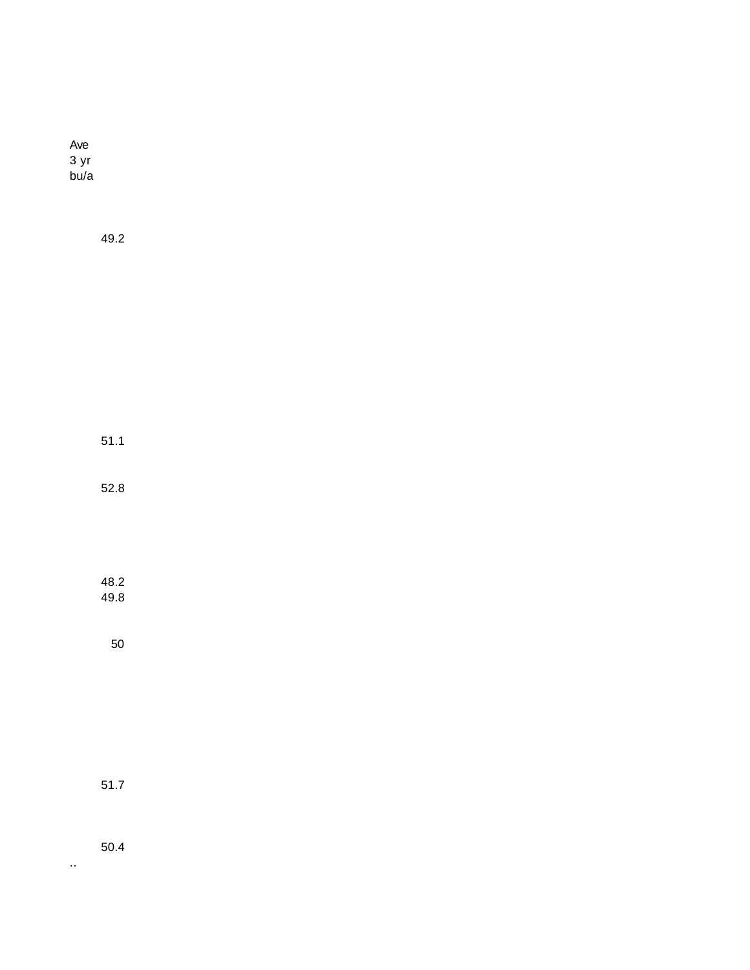| Ave<br>3 yr<br>bu/a |              |  |  |  |  |  |
|---------------------|--------------|--|--|--|--|--|
|                     | 49.2         |  |  |  |  |  |
|                     |              |  |  |  |  |  |
|                     |              |  |  |  |  |  |
|                     |              |  |  |  |  |  |
|                     | 51.1         |  |  |  |  |  |
|                     | 52.8         |  |  |  |  |  |
|                     |              |  |  |  |  |  |
|                     | 48.2<br>49.8 |  |  |  |  |  |
|                     | 50           |  |  |  |  |  |
|                     |              |  |  |  |  |  |
|                     |              |  |  |  |  |  |
|                     | $51.7$       |  |  |  |  |  |
|                     |              |  |  |  |  |  |

..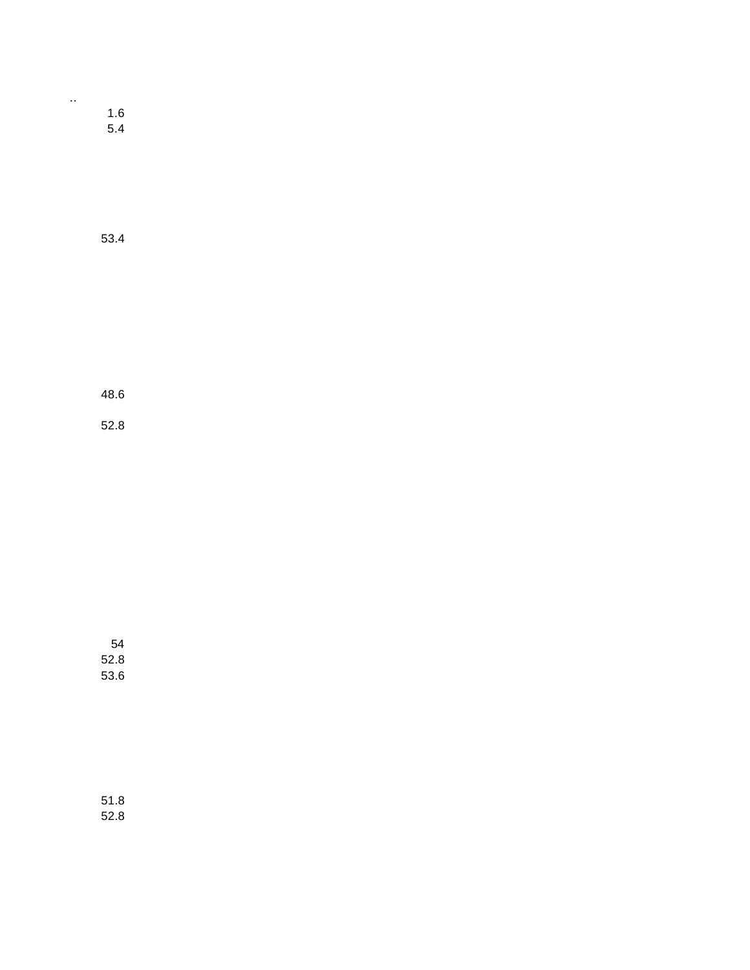| 1.6 |  |
|-----|--|
| 5.4 |  |
|     |  |

..

53.4

48.6

52.8

54 52.8 53.6

51.8 52.8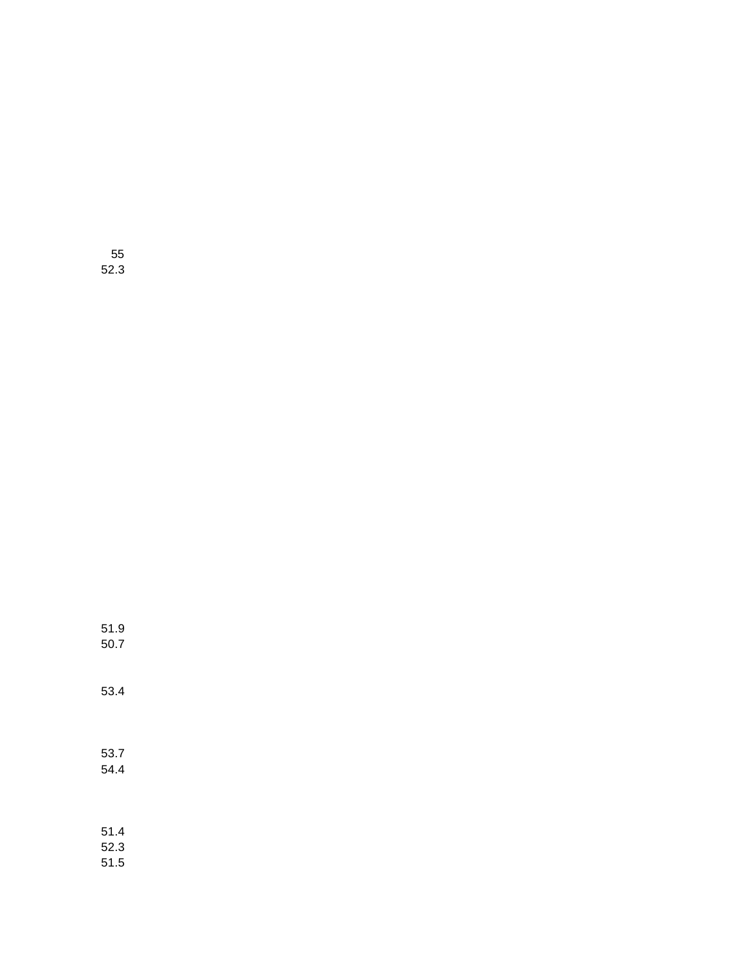| 53.4                 |  |
|----------------------|--|
| 53.7<br>54.4         |  |
| 51.4<br>52.3<br>51.5 |  |

51.9 50.7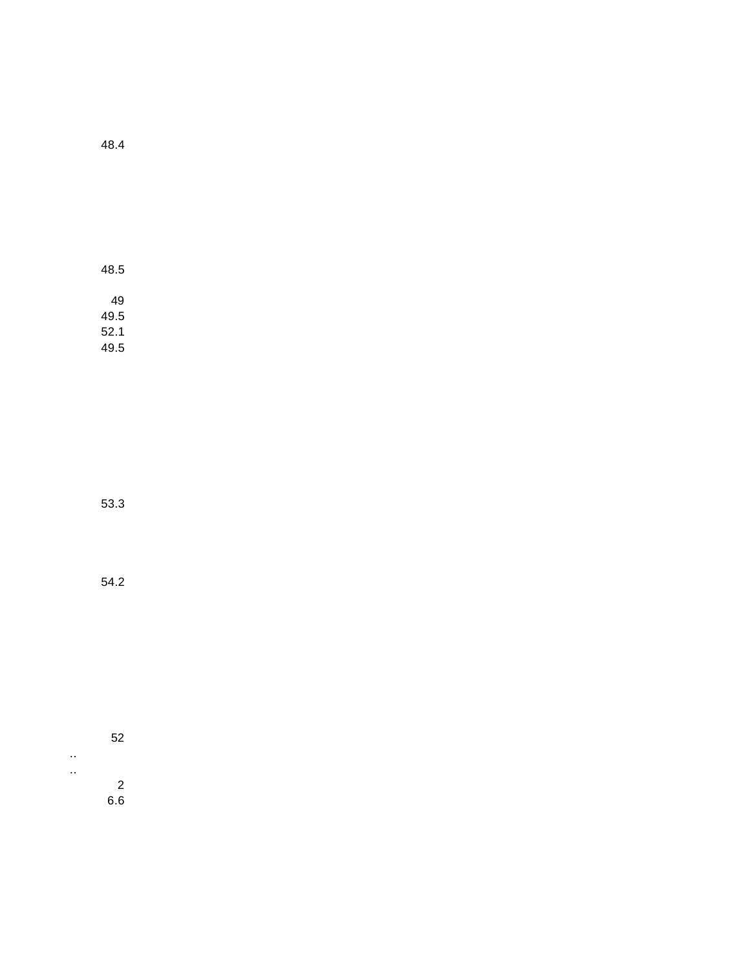48.5 49 49.5 52.1 49.5

53.3

54.2

52 .. ..

2 6.6